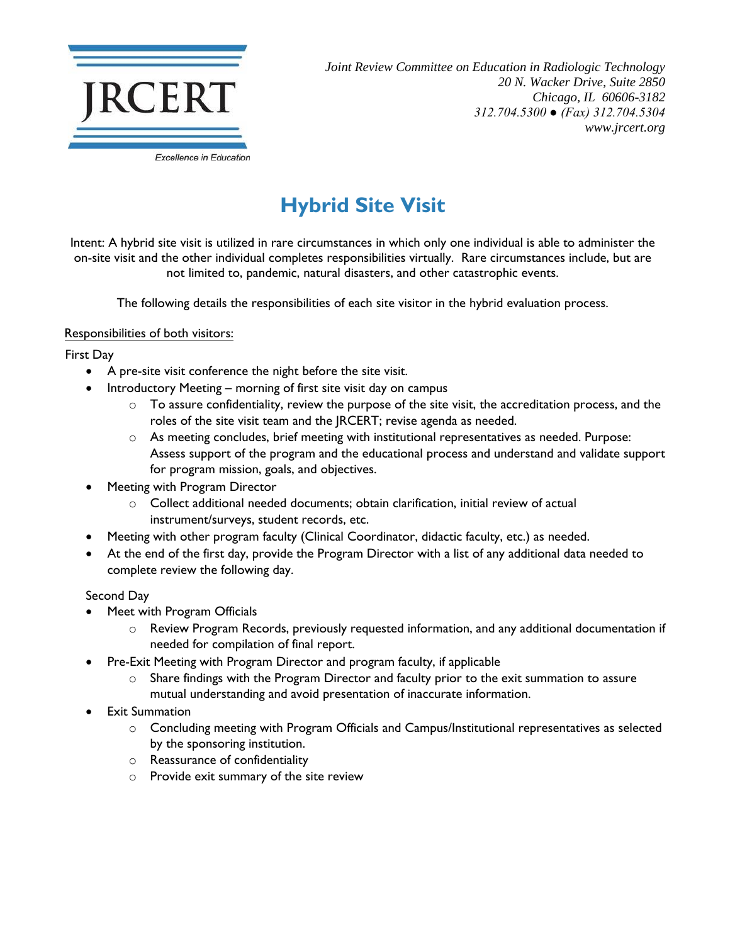

*Joint Review Committee on Education in Radiologic Technology 20 N. Wacker Drive, Suite 2850 Chicago, IL 60606-3182 312.704.5300 ● (Fax) 312.704.5304 www.jrcert.org*

## **Hybrid Site Visit**

Intent: A hybrid site visit is utilized in rare circumstances in which only one individual is able to administer the on-site visit and the other individual completes responsibilities virtually. Rare circumstances include, but are not limited to, pandemic, natural disasters, and other catastrophic events.

The following details the responsibilities of each site visitor in the hybrid evaluation process.

## Responsibilities of both visitors:

First Day

- A pre-site visit conference the night before the site visit.
	- Introductory Meeting morning of first site visit day on campus
		- $\circ$  To assure confidentiality, review the purpose of the site visit, the accreditation process, and the roles of the site visit team and the JRCERT; revise agenda as needed.
		- o As meeting concludes, brief meeting with institutional representatives as needed. Purpose: Assess support of the program and the educational process and understand and validate support for program mission, goals, and objectives.
- Meeting with Program Director
	- o Collect additional needed documents; obtain clarification, initial review of actual instrument/surveys, student records, etc.
- Meeting with other program faculty (Clinical Coordinator, didactic faculty, etc.) as needed.
- At the end of the first day, provide the Program Director with a list of any additional data needed to complete review the following day.

## Second Day

- Meet with Program Officials
	- o Review Program Records, previously requested information, and any additional documentation if needed for compilation of final report.
	- Pre-Exit Meeting with Program Director and program faculty, if applicable
		- Share findings with the Program Director and faculty prior to the exit summation to assure mutual understanding and avoid presentation of inaccurate information.
- **Exit Summation** 
	- o Concluding meeting with Program Officials and Campus/Institutional representatives as selected by the sponsoring institution.
	- o Reassurance of confidentiality
	- o Provide exit summary of the site review